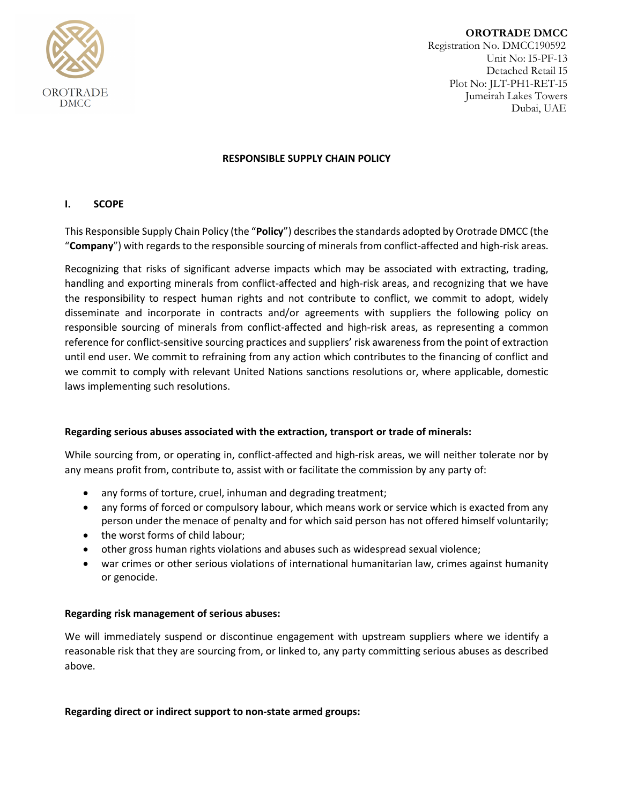

**OROTRADE DMCC** Registration No. DMCC190592 Unit No: I5-PF-13 Detached Retail I5 Plot No: JLT-PH1-RET-I5 Jumeirah Lakes Towers Dubai, UAE

## **RESPONSIBLE SUPPLY CHAIN POLICY**

# **I. SCOPE**

This Responsible Supply Chain Policy (the "**Policy**") describes the standards adopted by Orotrade DMCC (the "**Company**") with regards to the responsible sourcing of minerals from conflict-affected and high-risk areas.

Recognizing that risks of significant adverse impacts which may be associated with extracting, trading, handling and exporting minerals from conflict-affected and high-risk areas, and recognizing that we have the responsibility to respect human rights and not contribute to conflict, we commit to adopt, widely disseminate and incorporate in contracts and/or agreements with suppliers the following policy on responsible sourcing of minerals from conflict-affected and high-risk areas, as representing a common reference for conflict-sensitive sourcing practices and suppliers' risk awareness from the point of extraction until end user. We commit to refraining from any action which contributes to the financing of conflict and we commit to comply with relevant United Nations sanctions resolutions or, where applicable, domestic laws implementing such resolutions.

### **Regarding serious abuses associated with the extraction, transport or trade of minerals:**

While sourcing from, or operating in, conflict-affected and high-risk areas, we will neither tolerate nor by any means profit from, contribute to, assist with or facilitate the commission by any party of:

- any forms of torture, cruel, inhuman and degrading treatment;
- any forms of forced or compulsory labour, which means work or service which is exacted from any person under the menace of penalty and for which said person has not offered himself voluntarily;
- the worst forms of child labour;
- other gross human rights violations and abuses such as widespread sexual violence;
- war crimes or other serious violations of international humanitarian law, crimes against humanity or genocide.

# **Regarding risk management of serious abuses:**

We will immediately suspend or discontinue engagement with upstream suppliers where we identify a reasonable risk that they are sourcing from, or linked to, any party committing serious abuses as described above.

**Regarding direct or indirect support to non-state armed groups:**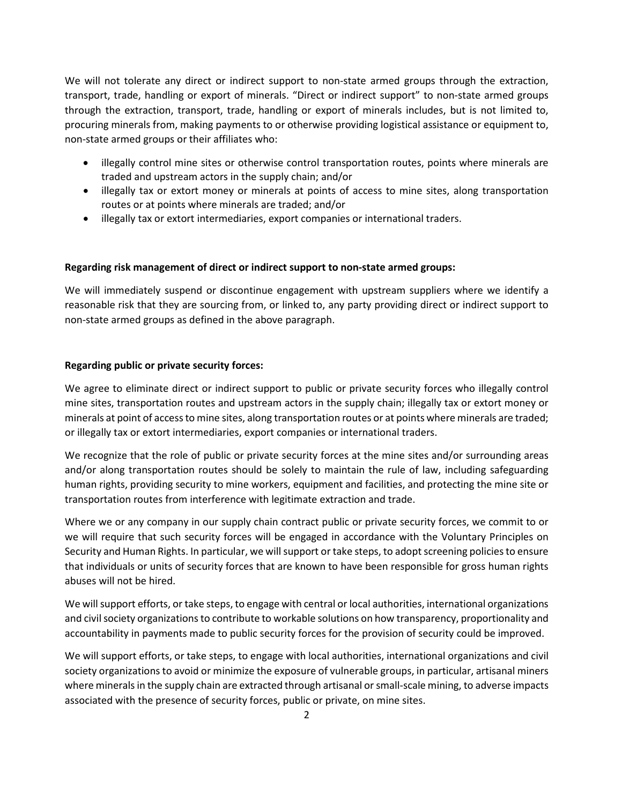We will not tolerate any direct or indirect support to non-state armed groups through the extraction, transport, trade, handling or export of minerals. "Direct or indirect support" to non-state armed groups through the extraction, transport, trade, handling or export of minerals includes, but is not limited to, procuring minerals from, making payments to or otherwise providing logistical assistance or equipment to, non-state armed groups or their affiliates who:

- illegally control mine sites or otherwise control transportation routes, points where minerals are traded and upstream actors in the supply chain; and/or
- illegally tax or extort money or minerals at points of access to mine sites, along transportation routes or at points where minerals are traded; and/or
- illegally tax or extort intermediaries, export companies or international traders.

#### **Regarding risk management of direct or indirect support to non-state armed groups:**

We will immediately suspend or discontinue engagement with upstream suppliers where we identify a reasonable risk that they are sourcing from, or linked to, any party providing direct or indirect support to non-state armed groups as defined in the above paragraph.

#### **Regarding public or private security forces:**

We agree to eliminate direct or indirect support to public or private security forces who illegally control mine sites, transportation routes and upstream actors in the supply chain; illegally tax or extort money or minerals at point of access to mine sites, along transportation routes or at points where minerals are traded; or illegally tax or extort intermediaries, export companies or international traders.

We recognize that the role of public or private security forces at the mine sites and/or surrounding areas and/or along transportation routes should be solely to maintain the rule of law, including safeguarding human rights, providing security to mine workers, equipment and facilities, and protecting the mine site or transportation routes from interference with legitimate extraction and trade.

Where we or any company in our supply chain contract public or private security forces, we commit to or we will require that such security forces will be engaged in accordance with the Voluntary Principles on Security and Human Rights. In particular, we will support or take steps, to adopt screening policies to ensure that individuals or units of security forces that are known to have been responsible for gross human rights abuses will not be hired.

We will support efforts, or take steps, to engage with central or local authorities, international organizations and civil society organizations to contribute to workable solutions on how transparency, proportionality and accountability in payments made to public security forces for the provision of security could be improved.

We will support efforts, or take steps, to engage with local authorities, international organizations and civil society organizations to avoid or minimize the exposure of vulnerable groups, in particular, artisanal miners where minerals in the supply chain are extracted through artisanal or small-scale mining, to adverse impacts associated with the presence of security forces, public or private, on mine sites.